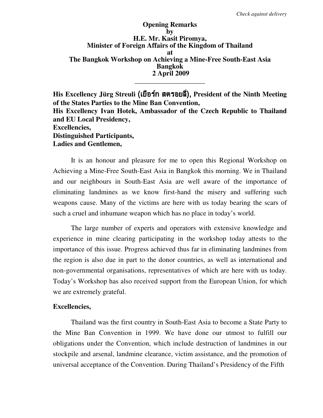**Opening Remarks by H.E. Mr. Kasit Piromya, Minister of Foreign Affairs of the Kingdom of Thailand at The Bangkok Workshop on Achieving a Mine-Free South-East Asia Bangkok 2 April 2009 \_\_\_\_\_\_\_\_\_\_\_\_\_\_\_\_\_\_\_\_** 

His Excellency Jürg Streuli **(เยือร์ก สตรอยลี)**, President of the Ninth Meeting **of the States Parties to the Mine Ban Convention, His Excellency Ivan Hotek, Ambassador of the Czech Republic to Thailand and EU Local Presidency, Excellencies, Distinguished Participants, Ladies and Gentlemen,** 

It is an honour and pleasure for me to open this Regional Workshop on Achieving a Mine-Free South-East Asia in Bangkok this morning. We in Thailand and our neighbours in South-East Asia are well aware of the importance of eliminating landmines as we know first-hand the misery and suffering such weapons cause. Many of the victims are here with us today bearing the scars of such a cruel and inhumane weapon which has no place in today's world.

 The large number of experts and operators with extensive knowledge and experience in mine clearing participating in the workshop today attests to the importance of this issue. Progress achieved thus far in eliminating landmines from the region is also due in part to the donor countries, as well as international and non-governmental organisations, representatives of which are here with us today. Today's Workshop has also received support from the European Union, for which we are extremely grateful.

## **Excellencies,**

 Thailand was the first country in South-East Asia to become a State Party to the Mine Ban Convention in 1999. We have done our utmost to fulfill our obligations under the Convention, which include destruction of landmines in our stockpile and arsenal, landmine clearance, victim assistance, and the promotion of universal acceptance of the Convention. During Thailand's Presidency of the Fifth